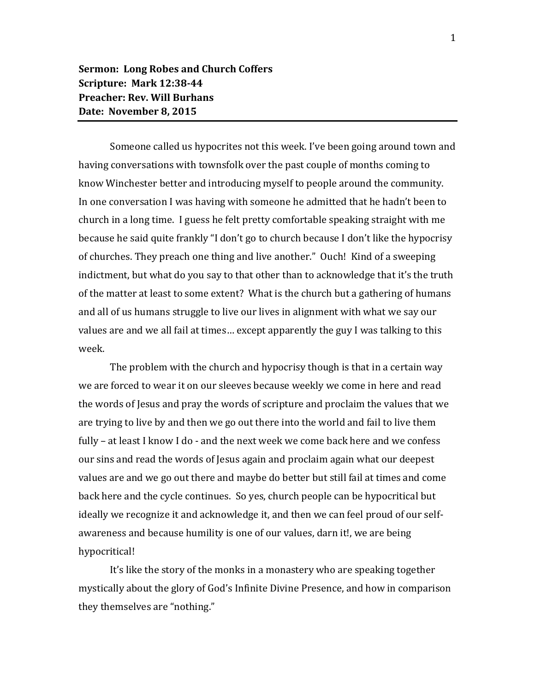Someone called us hypocrites not this week. I've been going around town and having conversations with townsfolk over the past couple of months coming to know Winchester better and introducing myself to people around the community. In one conversation I was having with someone he admitted that he hadn't been to church in a long time. I guess he felt pretty comfortable speaking straight with me because he said quite frankly "I don't go to church because I don't like the hypocrisy of churches. They preach one thing and live another." Ouch! Kind of a sweeping indictment, but what do you say to that other than to acknowledge that it's the truth of the matter at least to some extent? What is the church but a gathering of humans and all of us humans struggle to live our lives in alignment with what we say our values are and we all fail at times… except apparently the guy I was talking to this week.

The problem with the church and hypocrisy though is that in a certain way we are forced to wear it on our sleeves because weekly we come in here and read the words of Jesus and pray the words of scripture and proclaim the values that we are trying to live by and then we go out there into the world and fail to live them fully – at least I know I do - and the next week we come back here and we confess our sins and read the words of Jesus again and proclaim again what our deepest values are and we go out there and maybe do better but still fail at times and come back here and the cycle continues. So yes, church people can be hypocritical but ideally we recognize it and acknowledge it, and then we can feel proud of our selfawareness and because humility is one of our values, darn it!, we are being hypocritical!

It's like the story of the monks in a monastery who are speaking together mystically about the glory of God's Infinite Divine Presence, and how in comparison they themselves are "nothing."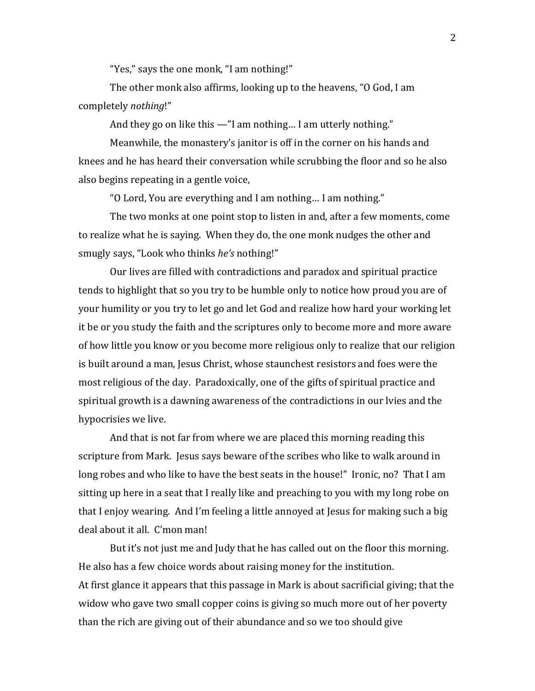"Yes," says the one monk, "I am nothing!"

The other monk also affirms, looking up to the heavens, "O God, I am completely *nothing*!"

And they go on like this —"I am nothing… I am utterly nothing."

Meanwhile, the monastery's janitor is off in the corner on his hands and knees and he has heard their conversation while scrubbing the floor and so he also also begins repeating in a gentle voice,

"O Lord, You are everything and I am nothing… I am nothing."

The two monks at one point stop to listen in and, after a few moments, come to realize what he is saying. When they do, the one monk nudges the other and smugly says, "Look who thinks *he's* nothing!"

Our lives are filled with contradictions and paradox and spiritual practice tends to highlight that so you try to be humble only to notice how proud you are of your humility or you try to let go and let God and realize how hard your working let it be or you study the faith and the scriptures only to become more and more aware of how little you know or you become more religious only to realize that our religion is built around a man, Jesus Christ, whose staunchest resistors and foes were the most religious of the day. Paradoxically, one of the gifts of spiritual practice and spiritual growth is a dawning awareness of the contradictions in our lvies and the hypocrisies we live.

And that is not far from where we are placed this morning reading this scripture from Mark. Jesus says beware of the scribes who like to walk around in long robes and who like to have the best seats in the house!" Ironic, no? That I am sitting up here in a seat that I really like and preaching to you with my long robe on that I enjoy wearing. And I'm feeling a little annoyed at Jesus for making such a big deal about it all. C'mon man!

But it's not just me and Judy that he has called out on the floor this morning. He also has a few choice words about raising money for the institution. At first glance it appears that this passage in Mark is about sacrificial giving; that the widow who gave two small copper coins is giving so much more out of her poverty than the rich are giving out of their abundance and so we too should give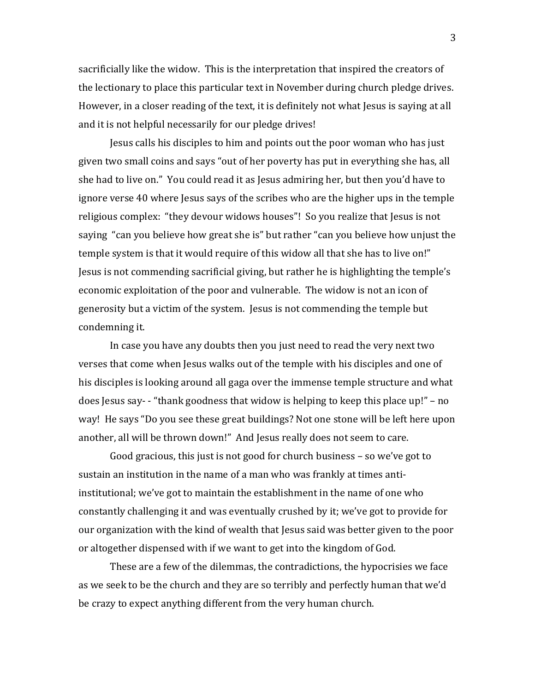sacrificially like the widow. This is the interpretation that inspired the creators of the lectionary to place this particular text in November during church pledge drives. However, in a closer reading of the text, it is definitely not what Jesus is saying at all and it is not helpful necessarily for our pledge drives!

Jesus calls his disciples to him and points out the poor woman who has just given two small coins and says "out of her poverty has put in everything she has, all she had to live on." You could read it as Jesus admiring her, but then you'd have to ignore verse 40 where Jesus says of the scribes who are the higher ups in the temple religious complex: "they devour widows houses"! So you realize that Jesus is not saying "can you believe how great she is" but rather "can you believe how unjust the temple system is that it would require of this widow all that she has to live on!" Jesus is not commending sacrificial giving, but rather he is highlighting the temple's economic exploitation of the poor and vulnerable. The widow is not an icon of generosity but a victim of the system. Jesus is not commending the temple but condemning it.

In case you have any doubts then you just need to read the very next two verses that come when Jesus walks out of the temple with his disciples and one of his disciples is looking around all gaga over the immense temple structure and what does Jesus say- - "thank goodness that widow is helping to keep this place up!" – no way! He says "Do you see these great buildings? Not one stone will be left here upon another, all will be thrown down!" And Jesus really does not seem to care.

Good gracious, this just is not good for church business – so we've got to sustain an institution in the name of a man who was frankly at times antiinstitutional; we've got to maintain the establishment in the name of one who constantly challenging it and was eventually crushed by it; we've got to provide for our organization with the kind of wealth that Jesus said was better given to the poor or altogether dispensed with if we want to get into the kingdom of God.

These are a few of the dilemmas, the contradictions, the hypocrisies we face as we seek to be the church and they are so terribly and perfectly human that we'd be crazy to expect anything different from the very human church.